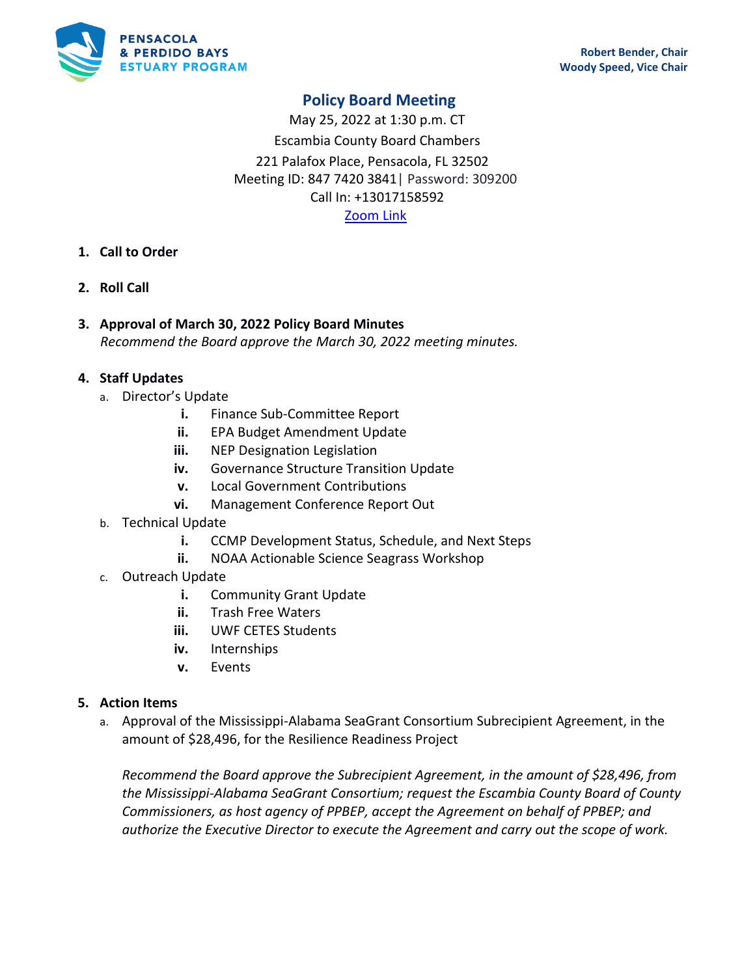

# **Policy Board Meeting**

May 25, 2022 at 1:30 p.m. CT Escambia County Board Chambers 221 Palafox Place, Pensacola, FL 32502 Meeting ID: 847 7420 3841| Password: 309200 Call In: +13017158592 [Zoom Link](https://us02web.zoom.us/meeting/register/tZAqcO2qrjgiHtUNoE5ESGsLeUr3Rc4gJNdI)

## **1. Call to Order**

- **2. Roll Call**
- **3. Approval of March 30, 2022 Policy Board Minutes** *Recommend the Board approve the March 30, 2022 meeting minutes.*

#### **4. Staff Updates**

- a. Director's Update
	- **i.** Finance Sub-Committee Report
	- **ii.** EPA Budget Amendment Update
	- **iii.** NEP Designation Legislation
	- **iv.** Governance Structure Transition Update
	- **v.** Local Government Contributions
	- **vi.** Management Conference Report Out
- b. Technical Update
	- **i.** CCMP Development Status, Schedule, and Next Steps
	- **ii.** NOAA Actionable Science Seagrass Workshop
- c. Outreach Update
	- **i.** Community Grant Update
	- **ii.** Trash Free Waters
	- **iii.** UWF CETES Students
	- **iv.** Internships
	- **v.** Events

#### **5. Action Items**

a. Approval of the Mississippi-Alabama SeaGrant Consortium Subrecipient Agreement, in the amount of \$28,496, for the Resilience Readiness Project

*Recommend the Board approve the Subrecipient Agreement, in the amount of \$28,496, from the Mississippi-Alabama SeaGrant Consortium; request the Escambia County Board of County Commissioners, as host agency of PPBEP, accept the Agreement on behalf of PPBEP; and authorize the Executive Director to execute the Agreement and carry out the scope of work.*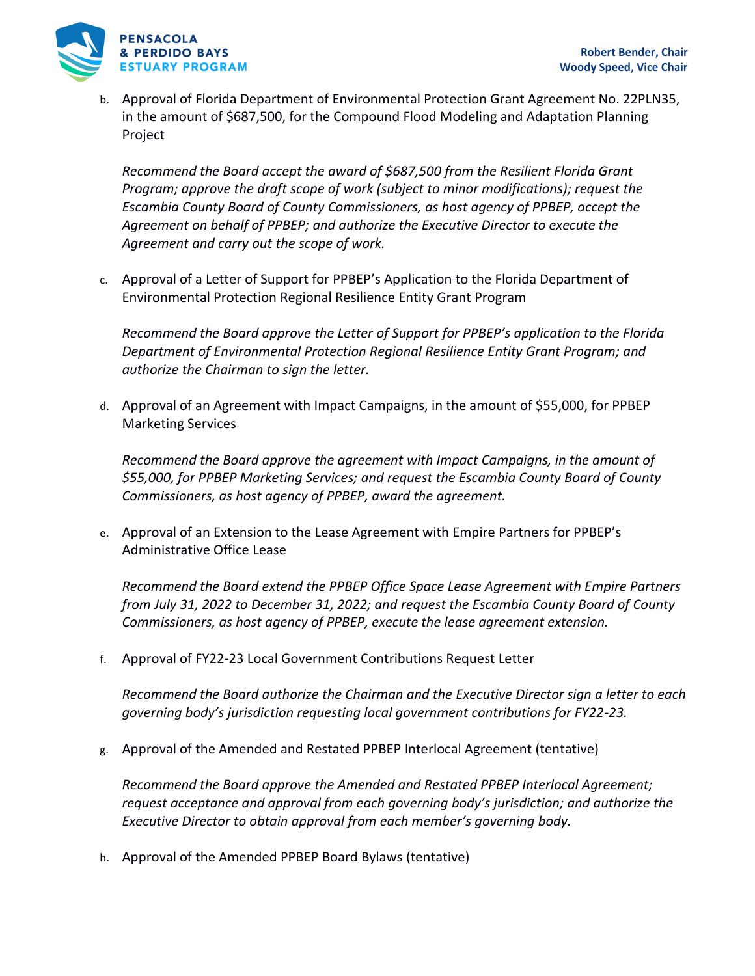

b. Approval of Florida Department of Environmental Protection Grant Agreement No. 22PLN35, in the amount of \$687,500, for the Compound Flood Modeling and Adaptation Planning Project

*Recommend the Board accept the award of \$687,500 from the Resilient Florida Grant Program; approve the draft scope of work (subject to minor modifications); request the Escambia County Board of County Commissioners, as host agency of PPBEP, accept the Agreement on behalf of PPBEP; and authorize the Executive Director to execute the Agreement and carry out the scope of work.*

c. Approval of a Letter of Support for PPBEP's Application to the Florida Department of Environmental Protection Regional Resilience Entity Grant Program

*Recommend the Board approve the Letter of Support for PPBEP's application to the Florida Department of Environmental Protection Regional Resilience Entity Grant Program; and authorize the Chairman to sign the letter.*

d. Approval of an Agreement with Impact Campaigns, in the amount of \$55,000, for PPBEP Marketing Services

*Recommend the Board approve the agreement with Impact Campaigns, in the amount of \$55,000, for PPBEP Marketing Services; and request the Escambia County Board of County Commissioners, as host agency of PPBEP, award the agreement.*

e. Approval of an Extension to the Lease Agreement with Empire Partners for PPBEP's Administrative Office Lease

*Recommend the Board extend the PPBEP Office Space Lease Agreement with Empire Partners from July 31, 2022 to December 31, 2022; and request the Escambia County Board of County Commissioners, as host agency of PPBEP, execute the lease agreement extension.*

f. Approval of FY22-23 Local Government Contributions Request Letter

*Recommend the Board authorize the Chairman and the Executive Director sign a letter to each governing body's jurisdiction requesting local government contributions for FY22-23.*

g. Approval of the Amended and Restated PPBEP Interlocal Agreement (tentative)

*Recommend the Board approve the Amended and Restated PPBEP Interlocal Agreement; request acceptance and approval from each governing body's jurisdiction; and authorize the Executive Director to obtain approval from each member's governing body.*

h. Approval of the Amended PPBEP Board Bylaws (tentative)